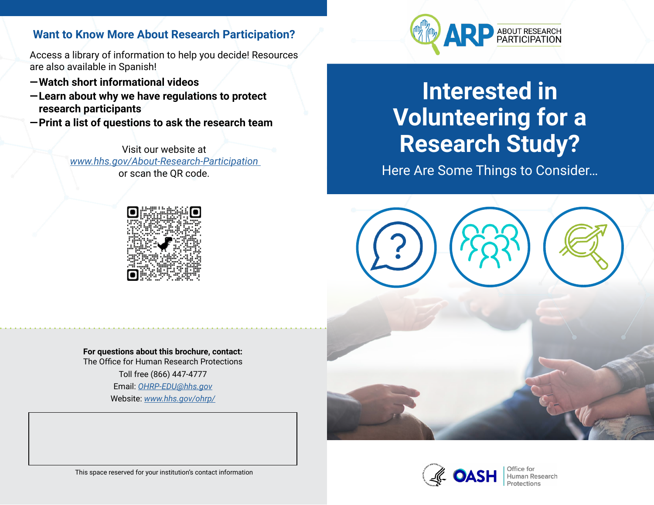## **Want to Know More About Research Participation?**

Access a library of information to help you decide! Resources are also available in Spanish!

- **— Watch short informational videos**
- **—Learn about why we have regulations to protect research participants**
- **—Print a list of questions to ask the research team**

Visit our website at *[www.hhs.gov/About-Research-Participation](http://www.hhs.gov/About-Research-Participation)*  or scan the QR code.



ABOUT RESEARCH<br>PARTICIPATION

# **Interested in Volunteering for a Research Study?**

Here Are Some Things to Consider…







**Human Research** 

This space reserved for your institution's contact information